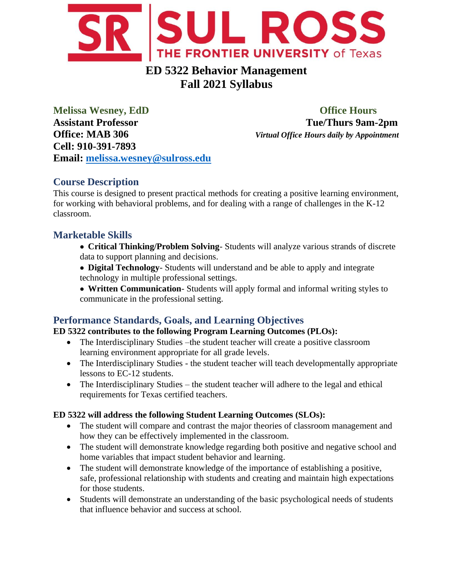

# **ED 5322 Behavior Management Fall 2021 Syllabus**

**Melissa Wesney, EdD Office Hours Assistant Professor Tue/Thurs 9am-2pm Office: MAB 306** *Virtual Office Hours daily by Appointment* **Cell: 910-391-7893 Email: [melissa.wesney@sulross.edu](mailto:melissa.wesney@sulross.edu)**

## **Course Description**

This course is designed to present practical methods for creating a positive learning environment, for working with behavioral problems, and for dealing with a range of challenges in the K-12 classroom.

## **Marketable Skills**

- **Critical Thinking/Problem Solving** Students will analyze various strands of discrete data to support planning and decisions.
- **Digital Technology** Students will understand and be able to apply and integrate technology in multiple professional settings.
- **Written Communication** Students will apply formal and informal writing styles to communicate in the professional setting.

## **Performance Standards, Goals, and Learning Objectives**

#### **ED 5322 contributes to the following Program Learning Outcomes (PLOs):**

- The Interdisciplinary Studies –the student teacher will create a positive classroom learning environment appropriate for all grade levels.
- The Interdisciplinary Studies the student teacher will teach developmentally appropriate lessons to EC-12 students.
- The Interdisciplinary Studies the student teacher will adhere to the legal and ethical requirements for Texas certified teachers.

#### **ED 5322 will address the following Student Learning Outcomes (SLOs):**

- The student will compare and contrast the major theories of classroom management and how they can be effectively implemented in the classroom.
- The student will demonstrate knowledge regarding both positive and negative school and home variables that impact student behavior and learning.
- The student will demonstrate knowledge of the importance of establishing a positive, safe, professional relationship with students and creating and maintain high expectations for those students.
- Students will demonstrate an understanding of the basic psychological needs of students that influence behavior and success at school.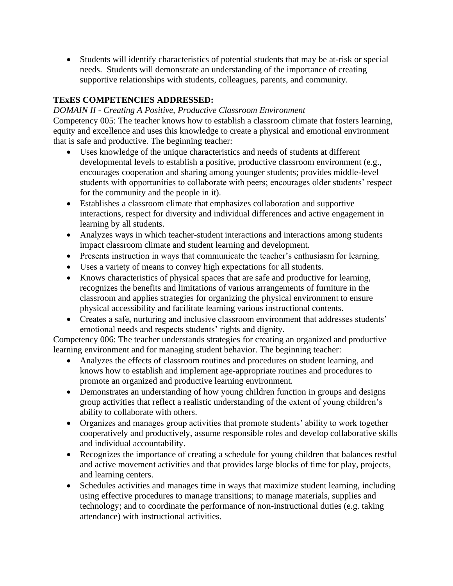• Students will identify characteristics of potential students that may be at-risk or special needs. Students will demonstrate an understanding of the importance of creating supportive relationships with students, colleagues, parents, and community.

#### **TExES COMPETENCIES ADDRESSED:**

#### *DOMAIN II - Creating A Positive, Productive Classroom Environment*

Competency 005: The teacher knows how to establish a classroom climate that fosters learning, equity and excellence and uses this knowledge to create a physical and emotional environment that is safe and productive. The beginning teacher:

- Uses knowledge of the unique characteristics and needs of students at different developmental levels to establish a positive, productive classroom environment (e.g., encourages cooperation and sharing among younger students; provides middle-level students with opportunities to collaborate with peers; encourages older students' respect for the community and the people in it).
- Establishes a classroom climate that emphasizes collaboration and supportive interactions, respect for diversity and individual differences and active engagement in learning by all students.
- Analyzes ways in which teacher-student interactions and interactions among students impact classroom climate and student learning and development.
- Presents instruction in ways that communicate the teacher's enthusiasm for learning.
- Uses a variety of means to convey high expectations for all students.
- Knows characteristics of physical spaces that are safe and productive for learning, recognizes the benefits and limitations of various arrangements of furniture in the classroom and applies strategies for organizing the physical environment to ensure physical accessibility and facilitate learning various instructional contents.
- Creates a safe, nurturing and inclusive classroom environment that addresses students' emotional needs and respects students' rights and dignity.

Competency 006: The teacher understands strategies for creating an organized and productive learning environment and for managing student behavior. The beginning teacher:

- Analyzes the effects of classroom routines and procedures on student learning, and knows how to establish and implement age-appropriate routines and procedures to promote an organized and productive learning environment.
- Demonstrates an understanding of how young children function in groups and designs group activities that reflect a realistic understanding of the extent of young children's ability to collaborate with others.
- Organizes and manages group activities that promote students' ability to work together cooperatively and productively, assume responsible roles and develop collaborative skills and individual accountability.
- Recognizes the importance of creating a schedule for young children that balances restful and active movement activities and that provides large blocks of time for play, projects, and learning centers.
- Schedules activities and manages time in ways that maximize student learning, including using effective procedures to manage transitions; to manage materials, supplies and technology; and to coordinate the performance of non-instructional duties (e.g. taking attendance) with instructional activities.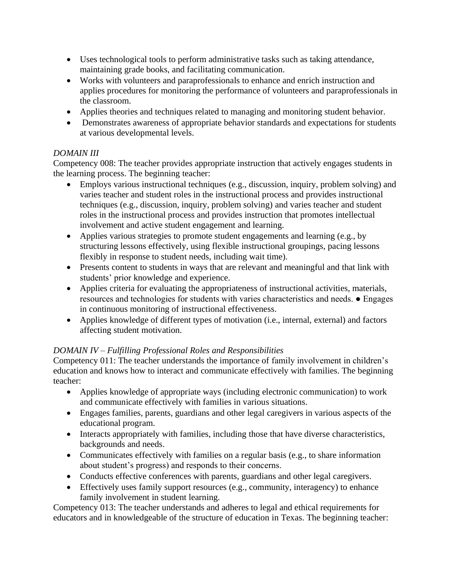- Uses technological tools to perform administrative tasks such as taking attendance, maintaining grade books, and facilitating communication.
- Works with volunteers and paraprofessionals to enhance and enrich instruction and applies procedures for monitoring the performance of volunteers and paraprofessionals in the classroom.
- Applies theories and techniques related to managing and monitoring student behavior.
- Demonstrates awareness of appropriate behavior standards and expectations for students at various developmental levels.

#### *DOMAIN III*

Competency 008: The teacher provides appropriate instruction that actively engages students in the learning process. The beginning teacher:

- Employs various instructional techniques (e.g., discussion, inquiry, problem solving) and varies teacher and student roles in the instructional process and provides instructional techniques (e.g., discussion, inquiry, problem solving) and varies teacher and student roles in the instructional process and provides instruction that promotes intellectual involvement and active student engagement and learning.
- Applies various strategies to promote student engagements and learning (e.g., by structuring lessons effectively, using flexible instructional groupings, pacing lessons flexibly in response to student needs, including wait time).
- Presents content to students in ways that are relevant and meaningful and that link with students' prior knowledge and experience.
- Applies criteria for evaluating the appropriateness of instructional activities, materials, resources and technologies for students with varies characteristics and needs. ● Engages in continuous monitoring of instructional effectiveness.
- Applies knowledge of different types of motivation (i.e., internal, external) and factors affecting student motivation.

#### *DOMAIN IV – Fulfilling Professional Roles and Responsibilities*

Competency 011: The teacher understands the importance of family involvement in children's education and knows how to interact and communicate effectively with families. The beginning teacher:

- Applies knowledge of appropriate ways (including electronic communication) to work and communicate effectively with families in various situations.
- Engages families, parents, guardians and other legal caregivers in various aspects of the educational program.
- Interacts appropriately with families, including those that have diverse characteristics, backgrounds and needs.
- Communicates effectively with families on a regular basis (e.g., to share information about student's progress) and responds to their concerns.
- Conducts effective conferences with parents, guardians and other legal caregivers.
- Effectively uses family support resources (e.g., community, interagency) to enhance family involvement in student learning.

Competency 013: The teacher understands and adheres to legal and ethical requirements for educators and in knowledgeable of the structure of education in Texas. The beginning teacher: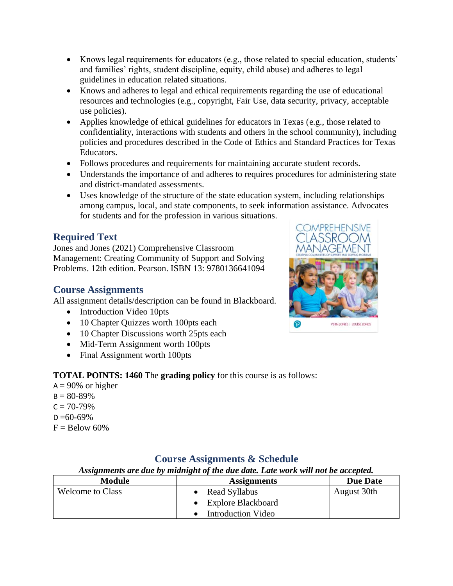- Knows legal requirements for educators (e.g., those related to special education, students' and families' rights, student discipline, equity, child abuse) and adheres to legal guidelines in education related situations.
- Knows and adheres to legal and ethical requirements regarding the use of educational resources and technologies (e.g., copyright, Fair Use, data security, privacy, acceptable use policies).
- Applies knowledge of ethical guidelines for educators in Texas (e.g., those related to confidentiality, interactions with students and others in the school community), including policies and procedures described in the Code of Ethics and Standard Practices for Texas Educators.
- Follows procedures and requirements for maintaining accurate student records.
- Understands the importance of and adheres to requires procedures for administering state and district-mandated assessments.
- Uses knowledge of the structure of the state education system, including relationships among campus, local, and state components, to seek information assistance. Advocates for students and for the profession in various situations.

## **Required Text**

Jones and Jones (2021) Comprehensive Classroom Management: Creating Community of Support and Solving Problems. 12th edition. Pearson. ISBN 13: 9780136641094

## **Course Assignments**

All assignment details/description can be found in Blackboard.

- Introduction Video 10pts
- 10 Chapter Quizzes worth 100pts each
- 10 Chapter Discussions worth 25pts each
- Mid-Term Assignment worth 100pts
- Final Assignment worth 100pts

#### **TOTAL POINTS: 1460** The **grading policy** for this course is as follows:

 $A = 90\%$  or higher  $B = 80 - 89\%$  $C = 70 - 79\%$  $D = 60 - 69\%$  $F =$ Below 60%

| Assignments are due by midnight of the due date. Late work will not be accepted. |                           |                 |
|----------------------------------------------------------------------------------|---------------------------|-----------------|
| <b>Module</b>                                                                    | <b>Assignments</b>        | <b>Due Date</b> |
| <b>Welcome to Class</b>                                                          | • Read Syllabus           | August 30th     |
|                                                                                  | <b>Explore Blackboard</b> |                 |
|                                                                                  | <b>Introduction Video</b> |                 |

## **Course Assignments & Schedule**

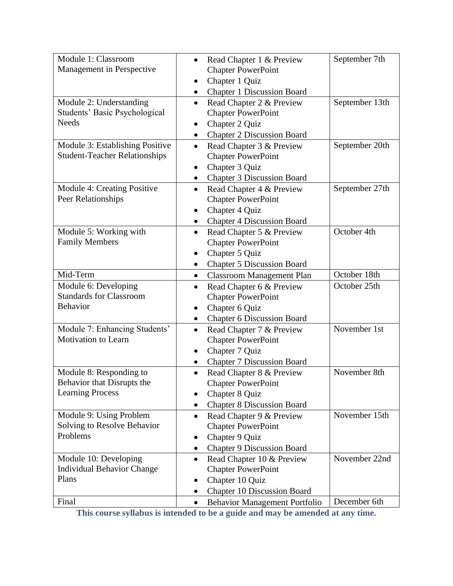| Module 1: Classroom                  | Read Chapter 1 & Preview<br>$\bullet$          | September 7th  |
|--------------------------------------|------------------------------------------------|----------------|
| Management in Perspective            | <b>Chapter PowerPoint</b>                      |                |
|                                      | Chapter 1 Quiz<br>٠                            |                |
|                                      | <b>Chapter 1 Discussion Board</b><br>٠         |                |
| Module 2: Understanding              | Read Chapter 2 & Preview<br>$\bullet$          | September 13th |
| Students' Basic Psychological        | <b>Chapter PowerPoint</b>                      |                |
| <b>Needs</b>                         | Chapter 2 Quiz<br>٠                            |                |
|                                      | <b>Chapter 2 Discussion Board</b><br>٠         |                |
| Module 3: Establishing Positive      | Read Chapter 3 & Preview<br>$\bullet$          | September 20th |
| <b>Student-Teacher Relationships</b> | <b>Chapter PowerPoint</b>                      |                |
|                                      | Chapter 3 Quiz                                 |                |
|                                      | <b>Chapter 3 Discussion Board</b><br>$\bullet$ |                |
| Module 4: Creating Positive          | Read Chapter 4 & Preview<br>$\bullet$          | September 27th |
| Peer Relationships                   | <b>Chapter PowerPoint</b>                      |                |
|                                      | Chapter 4 Quiz<br>٠                            |                |
|                                      | <b>Chapter 4 Discussion Board</b><br>٠         |                |
| Module 5: Working with               | Read Chapter 5 & Preview<br>$\bullet$          | October 4th    |
| <b>Family Members</b>                | <b>Chapter PowerPoint</b>                      |                |
|                                      | Chapter 5 Quiz                                 |                |
|                                      | <b>Chapter 5 Discussion Board</b><br>$\bullet$ |                |
| Mid-Term                             | <b>Classroom Management Plan</b><br>٠          | October 18th   |
| Module 6: Developing                 | Read Chapter 6 & Preview<br>$\bullet$          | October 25th   |
| <b>Standards for Classroom</b>       | <b>Chapter PowerPoint</b>                      |                |
| <b>Behavior</b>                      | Chapter 6 Quiz<br>٠                            |                |
|                                      | <b>Chapter 6 Discussion Board</b><br>٠         |                |
| Module 7: Enhancing Students'        | Read Chapter 7 & Preview<br>$\bullet$          | November 1st   |
| Motivation to Learn                  | <b>Chapter PowerPoint</b>                      |                |
|                                      | Chapter 7 Quiz                                 |                |
|                                      | <b>Chapter 7 Discussion Board</b>              |                |
| Module 8: Responding to              | Read Chapter 8 & Preview<br>٠                  | November 8th   |
| Behavior that Disrupts the           |                                                |                |
|                                      | <b>Chapter PowerPoint</b>                      |                |
| <b>Learning Process</b>              | Chapter 8 Quiz                                 |                |
|                                      | <b>Chapter 8 Discussion Board</b><br>$\bullet$ |                |
| Module 9: Using Problem              | Read Chapter 9 & Preview<br>$\bullet$          | November 15th  |
| Solving to Resolve Behavior          | <b>Chapter PowerPoint</b>                      |                |
| Problems                             | Chapter 9 Quiz<br>٠                            |                |
|                                      | <b>Chapter 9 Discussion Board</b><br>٠         |                |
| Module 10: Developing                | Read Chapter 10 & Preview<br>$\bullet$         | November 22nd  |
| <b>Individual Behavior Change</b>    | <b>Chapter PowerPoint</b>                      |                |
| Plans                                | Chapter 10 Quiz<br>٠                           |                |
|                                      | <b>Chapter 10 Discussion Board</b>             |                |

**This course syllabus is intended to be a guide and may be amended at any time.**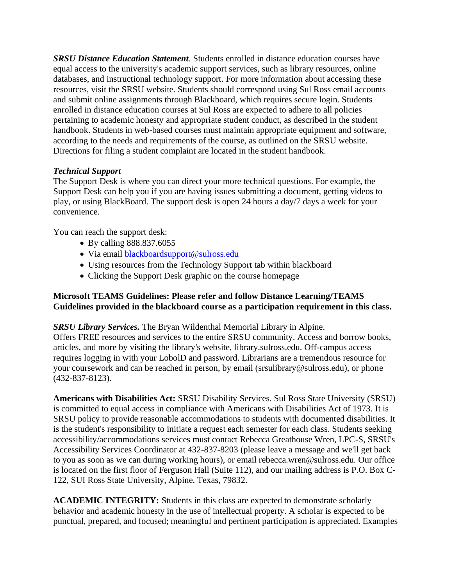*SRSU Distance Education Statement*. Students enrolled in distance education courses have equal access to the university's academic support services, such as library resources, online databases, and instructional technology support. For more information about accessing these resources, visit the SRSU website. Students should correspond using Sul Ross email accounts and submit online assignments through Blackboard, which requires secure login. Students enrolled in distance education courses at Sul Ross are expected to adhere to all policies pertaining to academic honesty and appropriate student conduct, as described in the student handbook. Students in web-based courses must maintain appropriate equipment and software, according to the needs and requirements of the course, as outlined on the SRSU website. Directions for filing a student complaint are located in the student handbook.

#### *Technical Support*

The Support Desk is where you can direct your more technical questions. For example, the Support Desk can help you if you are having issues submitting a document, getting videos to play, or using BlackBoard. The support desk is open 24 hours a day/7 days a week for your convenience.

You can reach the support desk:

- By calling 888.837.6055
- Via email blackboardsupport@sulross.edu
- Using resources from the Technology Support tab within blackboard
- Clicking the Support Desk graphic on the course homepage

#### **Microsoft TEAMS Guidelines: Please refer and follow Distance Learning/TEAMS Guidelines provided in the blackboard course as a participation requirement in this class.**

*SRSU Library Services.* The Bryan Wildenthal Memorial Library in Alpine.

Offers FREE resources and services to the entire SRSU community. Access and borrow books, articles, and more by visiting the library's website, library.sulross.edu. Off-campus access requires logging in with your LobolD and password. Librarians are a tremendous resource for your coursework and can be reached in person, by email (srsulibrary@sulross.edu), or phone (432-837-8123).

**Americans with Disabilities Act:** SRSU Disability Services. Sul Ross State University (SRSU) is committed to equal access in compliance with Americans with Disabilities Act of 1973. It is SRSU policy to provide reasonable accommodations to students with documented disabilities. It is the student's responsibility to initiate a request each semester for each class. Students seeking accessibility/accommodations services must contact Rebecca Greathouse Wren, LPC-S, SRSU's Accessibility Services Coordinator at 432-837-8203 (please leave a message and we'll get back to you as soon as we can during working hours), or email rebecca.wren@sulross.edu. Our office is located on the first floor of Ferguson Hall (Suite 112), and our mailing address is P.O. Box C-122, SUI Ross State University, Alpine. Texas, 79832.

**ACADEMIC INTEGRITY:** Students in this class are expected to demonstrate scholarly behavior and academic honesty in the use of intellectual property. A scholar is expected to be punctual, prepared, and focused; meaningful and pertinent participation is appreciated. Examples